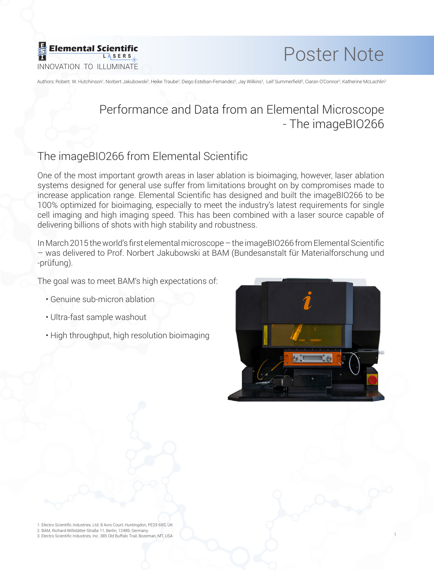



Authors: Robert. W. Hutchinson<sup>1</sup>, Norbert Jakubowski<sup>2</sup>, Heike Traube<sup>2</sup>, Diego Esteban-Fernandez<sup>2</sup>, Jay Wilkins<sup>3</sup>, Leif Summerfield<sup>3</sup>, Ciaran O'Connor<sup>3</sup>, Katherine McLachlin<sup>3</sup>

# Performance and Data from an Elemental Microscope - The imageBIO266

### The imageBIO266 from Elemental Scientific

One of the most important growth areas in laser ablation is bioimaging, however, laser ablation systems designed for general use suffer from limitations brought on by compromises made to increase application range. Elemental Scientific has designed and built the imageBIO266 to be 100% optimized for bioimaging, especially to meet the industry's latest requirements for single cell imaging and high imaging speed. This has been combined with a laser source capable of delivering billions of shots with high stability and robustness.

In March 2015 the world's first elemental microscope – the imageBIO266 from Elemental Scientific – was delivered to Prof. Norbert Jakubowski at BAM (Bundesanstalt für Materialforschung und -prüfung).

The goal was to meet BAM's high expectations of:

- Genuine sub-micron ablation
- Ultra-fast sample washout
- High throughput, high resolution bioimaging



1

1. Electro Scientific Industries, Ltd. 8 Avro Court, Huntingdon, PE29 6XS, UK 2. BAM, Richard-Willstätter-Straße 11, Berlin, 12489, Germany 3. Electro Scientific Industries, Inc. 385 Old Buffalo Trail, Bozeman, MT, USA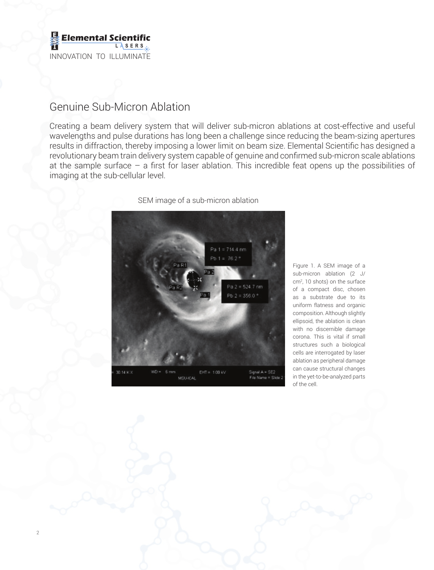

2

## Genuine Sub-Micron Ablation

Creating a beam delivery system that will deliver sub-micron ablations at cost-effective and useful wavelengths and pulse durations has long been a challenge since reducing the beam-sizing apertures results in diffraction, thereby imposing a lower limit on beam size. Elemental Scientific has designed a revolutionary beam train delivery system capable of genuine and confirmed sub-micron scale ablations at the sample surface  $-$  a first for laser ablation. This incredible feat opens up the possibilities of imaging at the sub-cellular level.



SEM image of a sub-micron ablation

Figure 1. A SEM image of a sub-micron ablation (2 J/ cm2 , 10 shots) on the surface of a compact disc, chosen as a substrate due to its uniform flatness and organic composition. Although slightly ellipsoid, the ablation is clean with no discernible damage corona. This is vital if small structures such a biological cells are interrogated by laser ablation as peripheral damage can cause structural changes in the yet-to-be-analyzed parts of the cell.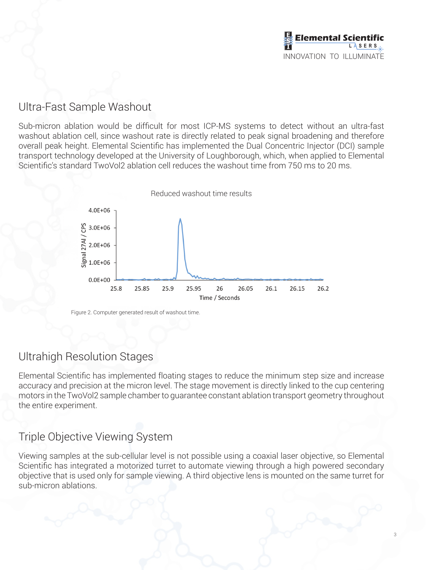

## Ultra-Fast Sample Washout

Sub-micron ablation would be difficult for most ICP-MS systems to detect without an ultra-fast washout ablation cell, since washout rate is directly related to peak signal broadening and therefore overall peak height. Elemental Scientific has implemented the Dual Concentric Injector (DCI) sample transport technology developed at the University of Loughborough, which, when applied to Elemental Scientific's standard TwoVol2 ablation cell reduces the washout time from 750 ms to 20 ms.



Figure 2. Computer generated result of washout time.

#### Ultrahigh Resolution Stages

Elemental Scientific has implemented floating stages to reduce the minimum step size and increase accuracy and precision at the micron level. The stage movement is directly linked to the cup centering motors in the TwoVol2 sample chamber to guarantee constant ablation transport geometry throughout the entire experiment.

## Triple Objective Viewing System

Viewing samples at the sub-cellular level is not possible using a coaxial laser objective, so Elemental Scientific has integrated a motorized turret to automate viewing through a high powered secondary objective that is used only for sample viewing. A third objective lens is mounted on the same turret for sub-micron ablations.